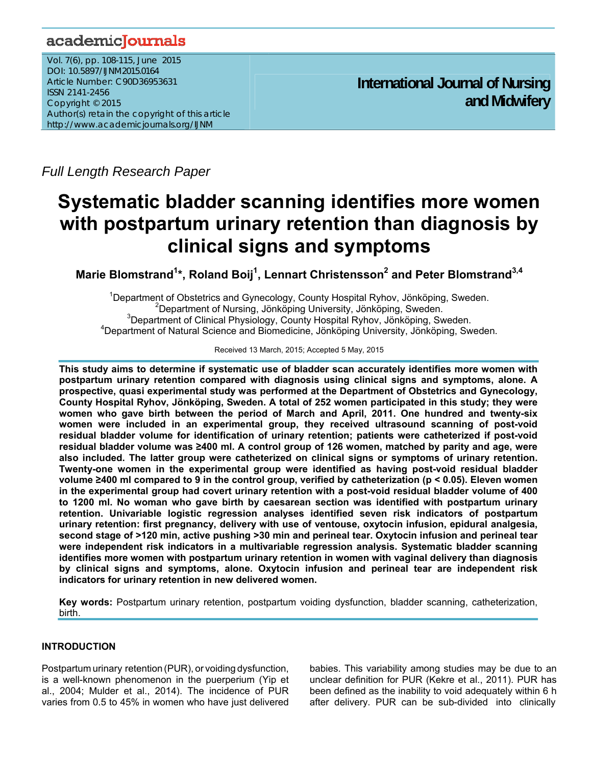# academicJournals

Vol. 7(6), pp. 108-115, June 2015 DOI: 10.5897/IJNM2015.0164 Article Number: C90D36953631 ISSN 2141-2456 Copyright © 2015 Author(s) retain the copyright of this article http://www.academicjournals.org/IJNM

**International Journal of Nursing and Midwifery**

*Full Length Research Paper* 

# **Systematic bladder scanning identifies more women with postpartum urinary retention than diagnosis by clinical signs and symptoms**

Marie Blomstrand<sup>1</sup>\*, Roland Boij<sup>1</sup>, Lennart Christensson<sup>2</sup> and Peter Blomstrand<sup>3,4</sup>

<sup>1</sup>Department of Obstetrics and Gynecology, County Hospital Ryhov, Jönköping, Sweden.<br><sup>2</sup>Department of Nurging, Jönköping University, Jönköping, Sweden. <sup>2</sup>Department of Nursing, Jönköping University, Jönköping, Sweden.  $3$ Department of Clinical Physiology, County Hospital Ryhov, Jönköping, Sweden. Department of Natural Science and Biomedicine, Jönköping University, Jönköping, Sweden.

Received 13 March, 2015; Accepted 5 May, 2015

**This study aims to determine if systematic use of bladder scan accurately identifies more women with postpartum urinary retention compared with diagnosis using clinical signs and symptoms, alone. A prospective, quasi experimental study was performed at the Department of Obstetrics and Gynecology, County Hospital Ryhov, Jönköping, Sweden. A total of 252 women participated in this study; they were women who gave birth between the period of March and April, 2011. One hundred and twenty-six women were included in an experimental group, they received ultrasound scanning of post-void residual bladder volume for identification of urinary retention; patients were catheterized if post-void residual bladder volume was ≥400 ml. A control group of 126 women, matched by parity and age, were also included. The latter group were catheterized on clinical signs or symptoms of urinary retention. Twenty-one women in the experimental group were identified as having post-void residual bladder volume ≥400 ml compared to 9 in the control group, verified by catheterization (p < 0.05). Eleven women in the experimental group had covert urinary retention with a post-void residual bladder volume of 400 to 1200 ml. No woman who gave birth by caesarean section was identified with postpartum urinary retention. Univariable logistic regression analyses identified seven risk indicators of postpartum urinary retention: first pregnancy, delivery with use of ventouse, oxytocin infusion, epidural analgesia, second stage of >120 min, active pushing >30 min and perineal tear. Oxytocin infusion and perineal tear were independent risk indicators in a multivariable regression analysis. Systematic bladder scanning identifies more women with postpartum urinary retention in women with vaginal delivery than diagnosis by clinical signs and symptoms, alone. Oxytocin infusion and perineal tear are independent risk indicators for urinary retention in new delivered women.** 

**Key words:** Postpartum urinary retention, postpartum voiding dysfunction, bladder scanning, catheterization, birth.

## **INTRODUCTION**

Postpartum urinary retention (PUR), or voiding dysfunction, is a well-known phenomenon in the puerperium (Yip et al., 2004; Mulder et al., 2014). The incidence of PUR varies from 0.5 to 45% in women who have just delivered

babies. This variability among studies may be due to an unclear definition for PUR (Kekre et al., 2011). PUR has been defined as the inability to void adequately within 6 h after delivery. PUR can be sub-divided into clinically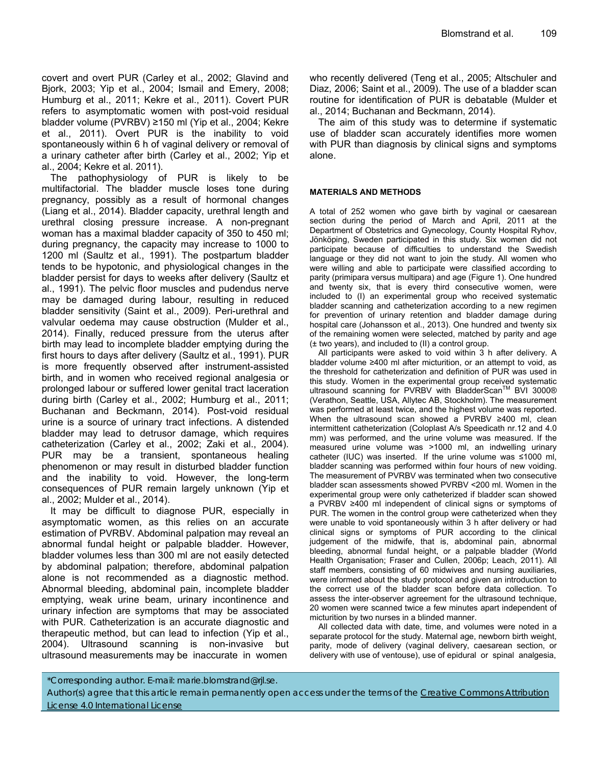covert and overt PUR (Carley et al., 2002; Glavind and Bjork, 2003; Yip et al., 2004; Ismail and Emery, 2008; Humburg et al., 2011; Kekre et al., 2011). Covert PUR refers to asymptomatic women with post-void residual bladder volume (PVRBV) ≥150 ml (Yip et al., 2004; Kekre et al., 2011). Overt PUR is the inability to void spontaneously within 6 h of vaginal delivery or removal of a urinary catheter after birth (Carley et al., 2002; Yip et al., 2004; Kekre et al. 2011).

The pathophysiology of PUR is likely to be multifactorial. The bladder muscle loses tone during pregnancy, possibly as a result of hormonal changes (Liang et al., 2014). Bladder capacity, urethral length and urethral closing pressure increase. A non-pregnant woman has a maximal bladder capacity of 350 to 450 ml; during pregnancy, the capacity may increase to 1000 to 1200 ml (Saultz et al., 1991). The postpartum bladder tends to be hypotonic, and physiological changes in the bladder persist for days to weeks after delivery (Saultz et al., 1991). The pelvic floor muscles and pudendus nerve may be damaged during labour, resulting in reduced bladder sensitivity (Saint et al., 2009). Peri-urethral and valvular oedema may cause obstruction (Mulder et al., 2014). Finally, reduced pressure from the uterus after birth may lead to incomplete bladder emptying during the first hours to days after delivery (Saultz et al., 1991). PUR is more frequently observed after instrument-assisted birth, and in women who received regional analgesia or prolonged labour or suffered lower genital tract laceration during birth (Carley et al., 2002; Humburg et al., 2011; Buchanan and Beckmann, 2014). Post-void residual urine is a source of urinary tract infections. A distended bladder may lead to detrusor damage, which requires catheterization (Carley et al., 2002; Zaki et al., 2004). PUR may be a transient, spontaneous healing phenomenon or may result in disturbed bladder function and the inability to void. However, the long-term consequences of PUR remain largely unknown (Yip et al., 2002; Mulder et al., 2014).

It may be difficult to diagnose PUR, especially in asymptomatic women, as this relies on an accurate estimation of PVRBV. Abdominal palpation may reveal an abnormal fundal height or palpable bladder. However, bladder volumes less than 300 ml are not easily detected by abdominal palpation; therefore, abdominal palpation alone is not recommended as a diagnostic method. Abnormal bleeding, abdominal pain, incomplete bladder emptying, weak urine beam, urinary incontinence and urinary infection are symptoms that may be associated with PUR. Catheterization is an accurate diagnostic and therapeutic method, but can lead to infection (Yip et al., 2004). Ultrasound scanning is non-invasive but ultrasound measurements may be inaccurate in women

who recently delivered (Teng et al., 2005; Altschuler and Diaz, 2006; Saint et al., 2009). The use of a bladder scan routine for identification of PUR is debatable (Mulder et al., 2014; Buchanan and Beckmann, 2014).

The aim of this study was to determine if systematic use of bladder scan accurately identifies more women with PUR than diagnosis by clinical signs and symptoms alone.

#### **MATERIALS AND METHODS**

A total of 252 women who gave birth by vaginal or caesarean section during the period of March and April, 2011 at the Department of Obstetrics and Gynecology, County Hospital Ryhov, Jönköping, Sweden participated in this study. Six women did not participate because of difficulties to understand the Swedish language or they did not want to join the study. All women who were willing and able to participate were classified according to parity (primipara versus multipara) and age (Figure 1). One hundred and twenty six, that is every third consecutive women, were included to (I) an experimental group who received systematic bladder scanning and catheterization according to a new regimen for prevention of urinary retention and bladder damage during hospital care (Johansson et al., 2013). One hundred and twenty six of the remaining women were selected, matched by parity and age (± two years), and included to (II) a control group.

All participants were asked to void within 3 h after delivery. A bladder volume ≥400 ml after micturition, or an attempt to void, as the threshold for catheterization and definition of PUR was used in this study. Women in the experimental group received systematic ultrasound scanning for PVRBV with BladderScan™ BVI 3000® (Verathon, Seattle, USA, Allytec AB, Stockholm). The measurement was performed at least twice, and the highest volume was reported. When the ultrasound scan showed a PVRBV ≥400 ml, clean intermittent catheterization (Coloplast A/s Speedicath nr.12 and 4.0 mm) was performed, and the urine volume was measured. If the measured urine volume was >1000 ml, an indwelling urinary catheter (IUC) was inserted. If the urine volume was ≤1000 ml, bladder scanning was performed within four hours of new voiding. The measurement of PVRBV was terminated when two consecutive bladder scan assessments showed PVRBV <200 ml. Women in the experimental group were only catheterized if bladder scan showed a PVRBV ≥400 ml independent of clinical signs or symptoms of PUR. The women in the control group were catheterized when they were unable to void spontaneously within 3 h after delivery or had clinical signs or symptoms of PUR according to the clinical judgement of the midwife, that is, abdominal pain, abnormal bleeding, abnormal fundal height, or a palpable bladder (World Health Organisation; Fraser and Cullen, 2006p; Leach, 2011). All staff members, consisting of 60 midwives and nursing auxiliaries, were informed about the study protocol and given an introduction to the correct use of the bladder scan before data collection. To assess the inter-observer agreement for the ultrasound technique, 20 women were scanned twice a few minutes apart independent of micturition by two nurses in a blinded manner.

All collected data with date, time, and volumes were noted in a separate protocol for the study. Maternal age, newborn birth weight, parity, mode of delivery (vaginal delivery, caesarean section, or delivery with use of ventouse), use of epidural or spinal analgesia,

\*Corresponding author. E-mail: marie.blomstrand@rjl.se.

Author(s) agree that this article remain permanently open access under the terms of the Creative Commons Attribution License 4.0 International License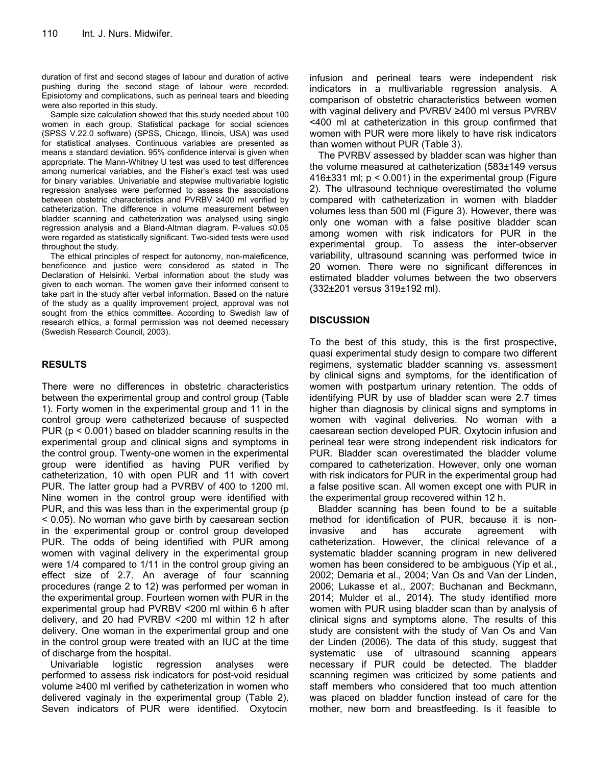duration of first and second stages of labour and duration of active pushing during the second stage of labour were recorded. Episiotomy and complications, such as perineal tears and bleeding were also reported in this study.

Sample size calculation showed that this study needed about 100 women in each group. Statistical package for social sciences (SPSS V.22.0 software) (SPSS, Chicago, Illinois, USA) was used for statistical analyses. Continuous variables are presented as means ± standard deviation. 95% confidence interval is given when appropriate. The Mann-Whitney U test was used to test differences among numerical variables, and the Fisher's exact test was used for binary variables. Univariable and stepwise multivariable logistic regression analyses were performed to assess the associations between obstetric characteristics and PVRBV ≥400 ml verified by catheterization. The difference in volume measurement between bladder scanning and catheterization was analysed using single regression analysis and a Bland-Altman diagram. P-values ≤0.05 were regarded as statistically significant. Two-sided tests were used throughout the study.

The ethical principles of respect for autonomy, non-maleficence, beneficence and justice were considered as stated in The Declaration of Helsinki. Verbal information about the study was given to each woman. The women gave their informed consent to take part in the study after verbal information. Based on the nature of the study as a quality improvement project, approval was not sought from the ethics committee. According to Swedish law of research ethics, a formal permission was not deemed necessary (Swedish Research Council, 2003).

### **RESULTS**

There were no differences in obstetric characteristics between the experimental group and control group (Table 1). Forty women in the experimental group and 11 in the control group were catheterized because of suspected PUR ( $p < 0.001$ ) based on bladder scanning results in the experimental group and clinical signs and symptoms in the control group. Twenty-one women in the experimental group were identified as having PUR verified by catheterization, 10 with open PUR and 11 with covert PUR. The latter group had a PVRBV of 400 to 1200 ml. Nine women in the control group were identified with PUR, and this was less than in the experimental group (p < 0.05). No woman who gave birth by caesarean section in the experimental group or control group developed PUR. The odds of being identified with PUR among women with vaginal delivery in the experimental group were 1/4 compared to 1/11 in the control group giving an effect size of 2.7. An average of four scanning procedures (range 2 to 12) was performed per woman in the experimental group. Fourteen women with PUR in the experimental group had PVRBV <200 ml within 6 h after delivery, and 20 had PVRBV <200 ml within 12 h after delivery. One woman in the experimental group and one in the control group were treated with an IUC at the time of discharge from the hospital.

Univariable logistic regression analyses were performed to assess risk indicators for post-void residual volume ≥400 ml verified by catheterization in women who delivered vaginaly in the experimental group (Table 2). Seven indicators of PUR were identified. Oxytocin infusion and perineal tears were independent risk indicators in a multivariable regression analysis. A comparison of obstetric characteristics between women with vaginal delivery and PVRBV ≥400 ml versus PVRBV <400 ml at catheterization in this group confirmed that women with PUR were more likely to have risk indicators than women without PUR (Table 3).

The PVRBV assessed by bladder scan was higher than the volume measured at catheterization (583±149 versus 416 $\pm$ 331 ml;  $p < 0.001$ ) in the experimental group (Figure 2). The ultrasound technique overestimated the volume compared with catheterization in women with bladder volumes less than 500 ml (Figure 3). However, there was only one woman with a false positive bladder scan among women with risk indicators for PUR in the experimental group. To assess the inter-observer variability, ultrasound scanning was performed twice in 20 women. There were no significant differences in estimated bladder volumes between the two observers (332±201 versus 319±192 ml).

### **DISCUSSION**

To the best of this study, this is the first prospective, quasi experimental study design to compare two different regimens, systematic bladder scanning vs. assessment by clinical signs and symptoms, for the identification of women with postpartum urinary retention. The odds of identifying PUR by use of bladder scan were 2.7 times higher than diagnosis by clinical signs and symptoms in women with vaginal deliveries. No woman with a caesarean section developed PUR. Oxytocin infusion and perineal tear were strong independent risk indicators for PUR. Bladder scan overestimated the bladder volume compared to catheterization. However, only one woman with risk indicators for PUR in the experimental group had a false positive scan. All women except one with PUR in the experimental group recovered within 12 h.

Bladder scanning has been found to be a suitable method for identification of PUR, because it is noninvasive and has accurate agreement with catheterization. However, the clinical relevance of a systematic bladder scanning program in new delivered women has been considered to be ambiguous (Yip et al., 2002; Demaria et al., 2004; Van Os and Van der Linden, 2006; Lukasse et al., 2007; Buchanan and Beckmann, 2014; Mulder et al., 2014). The study identified more women with PUR using bladder scan than by analysis of clinical signs and symptoms alone. The results of this study are consistent with the study of Van Os and Van der Linden (2006). The data of this study, suggest that systematic use of ultrasound scanning appears necessary if PUR could be detected. The bladder scanning regimen was criticized by some patients and staff members who considered that too much attention was placed on bladder function instead of care for the mother, new born and breastfeeding. Is it feasible to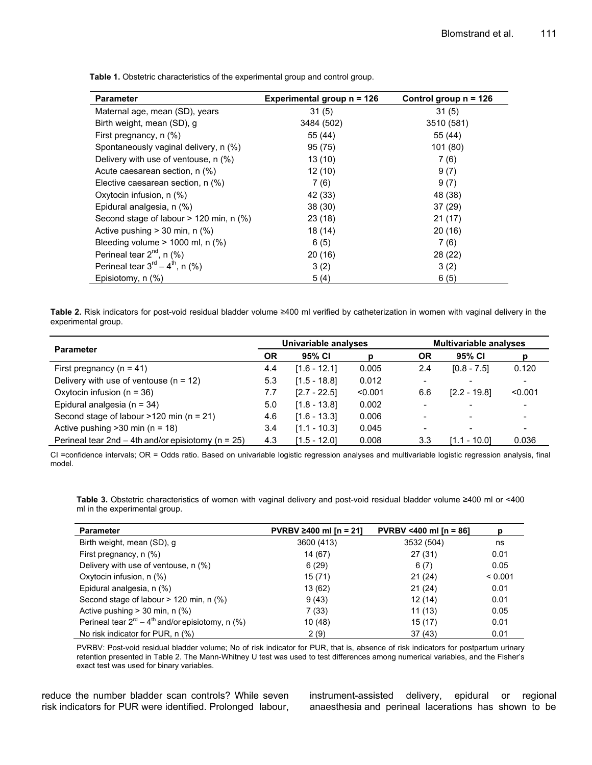| <b>Parameter</b>                          | Experimental group $n = 126$ | Control group $n = 126$ |
|-------------------------------------------|------------------------------|-------------------------|
| Maternal age, mean (SD), years            | 31(5)                        | 31(5)                   |
| Birth weight, mean (SD), g                | 3484 (502)                   | 3510 (581)              |
| First pregnancy, n (%)                    | 55 (44)                      | 55 (44)                 |
| Spontaneously vaginal delivery, n (%)     | 95(75)                       | 101 (80)                |
| Delivery with use of ventouse, n (%)      | 13(10)                       | 7(6)                    |
| Acute caesarean section, n (%)            | 12 (10)                      | 9(7)                    |
| Elective caesarean section, n (%)         | 7(6)                         | 9(7)                    |
| Oxytocin infusion, n (%)                  | 42 (33)                      | 48 (38)                 |
| Epidural analgesia, n (%)                 | 38(30)                       | 37(29)                  |
| Second stage of labour $> 120$ min, n (%) | 23(18)                       | 21(17)                  |
| Active pushing $>$ 30 min, n $(\%)$       | 18(14)                       | 20(16)                  |
| Bleeding volume $> 1000$ ml, n (%)        | 6(5)                         | 7(6)                    |
| Perineal tear $2^{nd}$ , n (%)            | 20 (16)                      | 28 (22)                 |
| Perineal tear $3^{rd} - 4^{th}$ , n (%)   | 3(2)                         | 3(2)                    |
| Episiotomy, n (%)                         | 5(4)                         | 6(5)                    |

**Table 1.** Obstetric characteristics of the experimental group and control group.

**Table 2.** Risk indicators for post-void residual bladder volume ≥400 ml verified by catheterization in women with vaginal delivery in the experimental group.

| <b>Parameter</b>                                     | Univariable analyses |                |         | <b>Multivariable analyses</b> |                |         |
|------------------------------------------------------|----------------------|----------------|---------|-------------------------------|----------------|---------|
|                                                      | ΟR                   | 95% CI         |         | 0R                            | 95% CI         |         |
| First pregnancy ( $n = 41$ )                         | 4.4                  | [1.6 - 12.1]   | 0.005   | 2.4                           | $[0.8 - 7.5]$  | 0.120   |
| Delivery with use of ventouse $(n = 12)$             | 5.3                  | $[1.5 - 18.8]$ | 0.012   |                               |                |         |
| Oxytocin infusion ( $n = 36$ )                       | 7.7                  | $[2.7 - 22.5]$ | < 0.001 | 6.6                           | $[2.2 - 19.8]$ | < 0.001 |
| Epidural analgesia ( $n = 34$ )                      | 5.0                  | $[1.8 - 13.8]$ | 0.002   |                               |                |         |
| Second stage of labour $>120$ min (n = 21)           | 4.6                  | $[1.6 - 13.3]$ | 0.006   |                               |                |         |
| Active pushing $>30$ min (n = 18)                    | 3.4                  | $[1.1 - 10.3]$ | 0.045   |                               |                |         |
| Perineal tear 2nd $-$ 4th and/or episiotomy (n = 25) | 4.3                  | $[1.5 - 12.0]$ | 0.008   | 3.3                           | [1.1 - 10.0]   | 0.036   |

CI =confidence intervals; OR = Odds ratio. Based on univariable logistic regression analyses and multivariable logistic regression analysis, final model.

**Table 3.** Obstetric characteristics of women with vaginal delivery and post-void residual bladder volume ≥400 ml or <400 ml in the experimental group.

| <b>Parameter</b>                                         | PVRBV ≥400 ml [n = 21] | <b>PVRBV &lt;400 ml [n = 86]</b> |         |
|----------------------------------------------------------|------------------------|----------------------------------|---------|
| Birth weight, mean (SD), g                               | 3600 (413)             | 3532 (504)                       | ns      |
| First pregnancy, n (%)                                   | 14(67)                 | 27(31)                           | 0.01    |
| Delivery with use of ventouse, n (%)                     | 6(29)                  | 6(7)                             | 0.05    |
| Oxytocin infusion, n (%)                                 | 15(71)                 | 21(24)                           | < 0.001 |
| Epidural analgesia, n (%)                                | 13 (62)                | 21(24)                           | 0.01    |
| Second stage of labour $> 120$ min, n (%)                | 9(43)                  | 12(14)                           | 0.01    |
| Active pushing $>$ 30 min, n $(\%)$                      | 7(33)                  | 11(13)                           | 0.05    |
| Perineal tear $2^{rd} - 4^{th}$ and/or episiotomy, n (%) | 10(48)                 | 15(17)                           | 0.01    |
| No risk indicator for PUR, n (%)                         | 2(9)                   | 37(43)                           | 0.01    |

PVRBV: Post-void residual bladder volume; No of risk indicator for PUR, that is, absence of risk indicators for postpartum urinary retention presented in Table 2. The Mann-Whitney U test was used to test differences among numerical variables, and the Fisher's exact test was used for binary variables.

reduce the number bladder scan controls? While seven risk indicators for PUR were identified. Prolonged labour, instrument-assisted delivery, epidural or regional anaesthesia and perineal lacerations has shown to be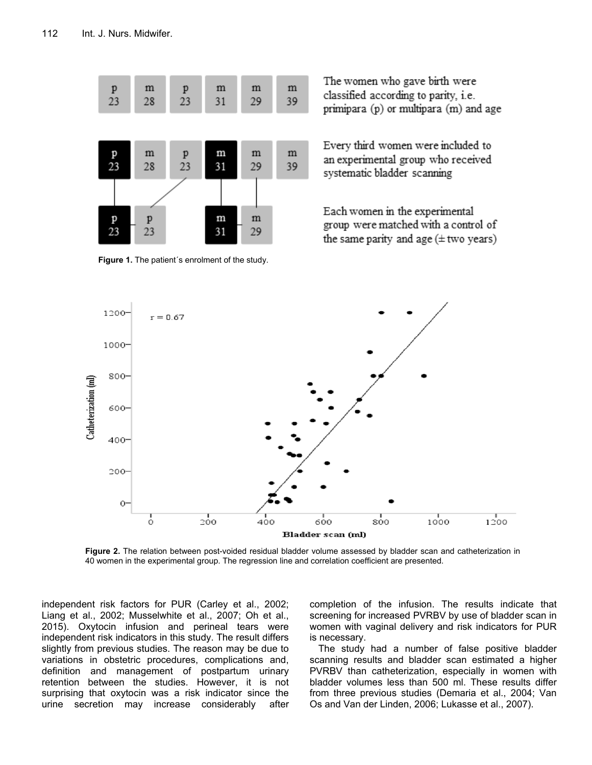

Figure 1. The patient's enrolment of the study.

classified according to parity, i.e. primipara (p) or multipara (m) and age

Every third women were included to an experimental group who received

group were matched with a control of the same parity and age  $(\pm$  two years)



**Figure 2.** The relation between post-voided residual bladder volume assessed by bladder scan and catheterization in 40 women in the experimental group. The regression line and correlation coefficient are presented.

independent risk factors for PUR (Carley et al., 2002; Liang et al., 2002; Musselwhite et al., 2007; Oh et al., 2015). Oxytocin infusion and perineal tears were independent risk indicators in this study. The result differs slightly from previous studies. The reason may be due to variations in obstetric procedures, complications and, definition and management of postpartum urinary retention between the studies. However, it is not surprising that oxytocin was a risk indicator since the urine secretion may increase considerably after completion of the infusion. The results indicate that screening for increased PVRBV by use of bladder scan in women with vaginal delivery and risk indicators for PUR is necessary.

The study had a number of false positive bladder scanning results and bladder scan estimated a higher PVRBV than catheterization, especially in women with bladder volumes less than 500 ml. These results differ from three previous studies (Demaria et al., 2004; Van Os and Van der Linden, 2006; Lukasse et al., 2007).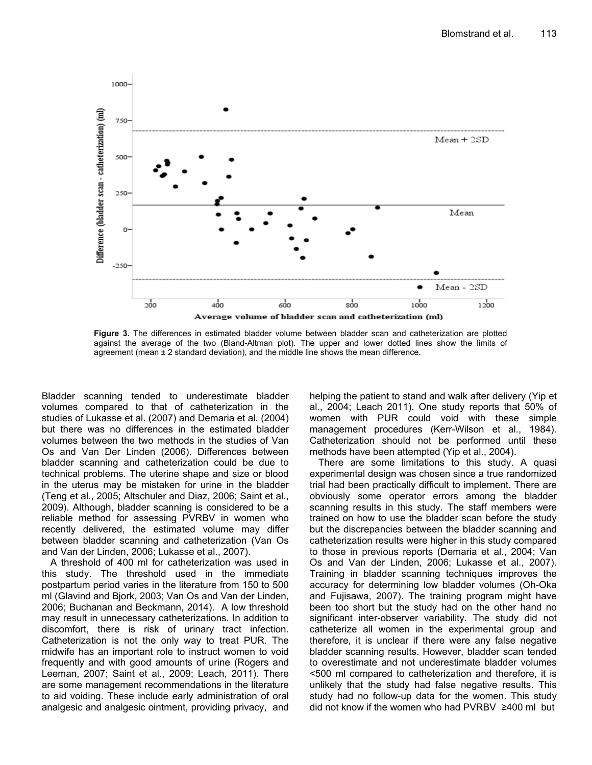

**Figure 3.** The differences in estimated bladder volume between bladder scan and catheterization are plotted against the average of the two (Bland-Altman plot). The upper and lower dotted lines show the limits of agreement (mean ± 2 standard deviation), and the middle line shows the mean difference.

Bladder scanning tended to underestimate bladder volumes compared to that of catheterization in the studies of Lukasse et al. (2007) and Demaria et al. (2004) but there was no differences in the estimated bladder volumes between the two methods in the studies of Van Os and Van Der Linden (2006). Differences between bladder scanning and catheterization could be due to technical problems. The uterine shape and size or blood in the uterus may be mistaken for urine in the bladder (Teng et al., 2005; Altschuler and Diaz, 2006; Saint et al., 2009). Although, bladder scanning is considered to be a reliable method for assessing PVRBV in women who recently delivered, the estimated volume may differ between bladder scanning and catheterization (Van Os and Van der Linden, 2006; Lukasse et al., 2007).

A threshold of 400 ml for catheterization was used in this study. The threshold used in the immediate postpartum period varies in the literature from 150 to 500 ml (Glavind and Bjork, 2003; Van Os and Van der Linden, 2006; Buchanan and Beckmann, 2014). A low threshold may result in unnecessary catheterizations. In addition to discomfort, there is risk of urinary tract infection. Catheterization is not the only way to treat PUR. The midwife has an important role to instruct women to void frequently and with good amounts of urine (Rogers and Leeman, 2007; Saint et al., 2009; Leach, 2011). There are some management recommendations in the literature to aid voiding. These include early administration of oral analgesic and analgesic ointment, providing privacy, and helping the patient to stand and walk after delivery (Yip et al., 2004; Leach 2011). One study reports that 50% of women with PUR could void with these simple management procedures (Kerr-Wilson et al., 1984). Catheterization should not be performed until these methods have been attempted (Yip et al., 2004).

There are some limitations to this study. A quasi experimental design was chosen since a true randomized trial had been practically difficult to implement. There are obviously some operator errors among the bladder scanning results in this study. The staff members were trained on how to use the bladder scan before the study but the discrepancies between the bladder scanning and catheterization results were higher in this study compared to those in previous reports (Demaria et al., 2004; Van Os and Van der Linden, 2006; Lukasse et al., 2007). Training in bladder scanning techniques improves the accuracy for determining low bladder volumes (Oh-Oka and Fujisawa, 2007). The training program might have been too short but the study had on the other hand no significant inter-observer variability. The study did not catheterize all women in the experimental group and therefore, it is unclear if there were any false negative bladder scanning results. However, bladder scan tended to overestimate and not underestimate bladder volumes <500 ml compared to catheterization and therefore, it is unlikely that the study had false negative results. This study had no follow-up data for the women. This study did not know if the women who had PVRBV ≥400 ml but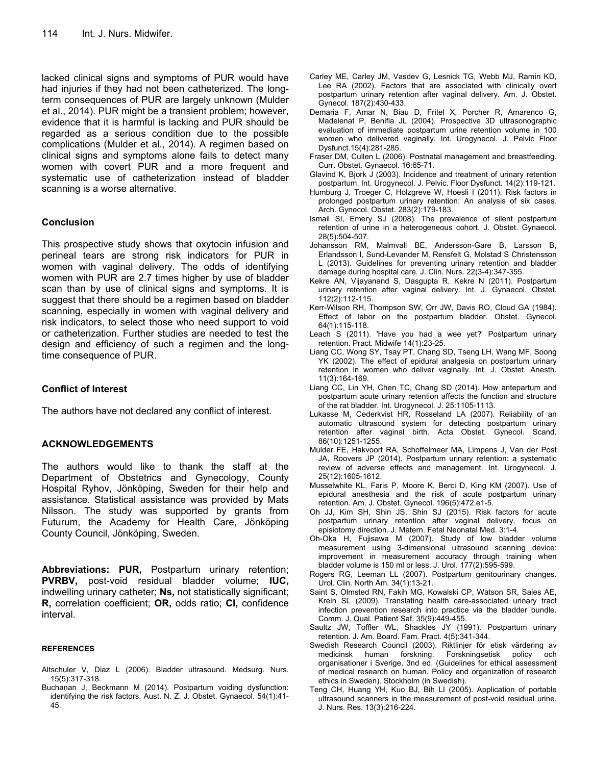lacked clinical signs and symptoms of PUR would have had injuries if they had not been catheterized. The longterm consequences of PUR are largely unknown (Mulder et al., 2014). PUR might be a transient problem; however, evidence that it is harmful is lacking and PUR should be regarded as a serious condition due to the possible complications (Mulder et al., 2014). A regimen based on clinical signs and symptoms alone fails to detect many women with covert PUR and a more frequent and systematic use of catheterization instead of bladder scanning is a worse alternative.

### **Conclusion**

This prospective study shows that oxytocin infusion and perineal tears are strong risk indicators for PUR in women with vaginal delivery. The odds of identifying women with PUR are 2.7 times higher by use of bladder scan than by use of clinical signs and symptoms. It is suggest that there should be a regimen based on bladder scanning, especially in women with vaginal delivery and risk indicators, to select those who need support to void or catheterization. Further studies are needed to test the design and efficiency of such a regimen and the longtime consequence of PUR.

### **Conflict of Interest**

The authors have not declared any conflict of interest.

### **ACKNOWLEDGEMENTS**

The authors would like to thank the staff at the Department of Obstetrics and Gynecology, County Hospital Ryhov, Jönköping, Sweden for their help and assistance. Statistical assistance was provided by Mats Nilsson. The study was supported by grants from Futurum, the Academy for Health Care, Jönköping County Council, Jönköping, Sweden.

**Abbreviations: PUR,** Postpartum urinary retention; **PVRBV,** post-void residual bladder volume; **IUC,** indwelling urinary catheter; **Ns,** not statistically significant; **R,** correlation coefficient; **OR,** odds ratio; **CI,** confidence interval.

#### **REFERENCES**

- Altschuler V, Diaz L (2006). Bladder ultrasound. Medsurg. Nurs. 15(5):317-318.
- Buchanan J, Beckmann M (2014). Postpartum voiding dysfunction: identifying the risk factors. Aust. N. Z. J. Obstet. Gynaecol. 54(1):41- 45.
- Carley ME, Carley JM, Vasdev G, Lesnick TG, Webb MJ, Ramin KD, Lee RA (2002). Factors that are associated with clinically overt postpartum urinary retention after vaginal delivery. Am. J. Obstet. Gynecol. 187(2):430-433.
- Demaria F, Amar N, Biau D, Fritel X, Porcher R, Amarenco G, Madelenat P, Benifla JL (2004). Prospective 3D ultrasonographic evaluation of immediate postpartum urine retention volume in 100 women who delivered vaginally. Int. Urogynecol. J. Pelvic Floor Dysfunct.15(4):281-285.
- Fraser DM, Cullen L (2006). Postnatal management and breastfeeding. Curr. Obstet. Gynaecol. 16:65-71.
- Glavind K, Bjork J (2003). Incidence and treatment of urinary retention postpartum. Int. Urogynecol. J. Pelvic. Floor Dysfunct. 14(2):119-121.
- Humburg J, Troeger C, Holzgreve W, Hoesli I (2011). Risk factors in prolonged postpartum urinary retention: An analysis of six cases. Arch. Gynecol. Obstet. 283(2):179-183.
- Ismail SI, Emery SJ (2008). The prevalence of silent postpartum retention of urine in a heterogeneous cohort. J. Obstet. Gynaecol. 28(5):504-507.
- Johansson RM, Malmvall BE, Andersson-Gare B, Larsson B, Erlandsson I, Sund-Levander M, Rensfelt G, Molstad S Christensson L (2013). Guidelines for preventing urinary retention and bladder damage during hospital care. J. Clin. Nurs. 22(3-4):347-355.
- Kekre AN, Vijayanand S, Dasgupta R, Kekre N (2011). Postpartum urinary retention after vaginal delivery. Int. J. Gynaecol. Obstet. 112(2):112-115.
- Kerr-Wilson RH, Thompson SW, Orr JW, Davis RO, Cloud GA (1984). Effect of labor on the postpartum bladder. Obstet. Gynecol. 64(1):115-118.
- Leach S (2011). 'Have you had a wee yet?' Postpartum urinary retention. Pract. Midwife 14(1):23-25.
- Liang CC, Wong SY, Tsay PT, Chang SD, Tseng LH, Wang MF, Soong YK (2002). The effect of epidural analgesia on postpartum urinary retention in women who deliver vaginally. Int. J. Obstet. Anesth. 11(3):164-169.
- Liang CC, Lin YH, Chen TC, Chang SD (2014). How antepartum and postpartum acute urinary retention affects the function and structure of the rat bladder. Int. Urogynecol. J. 25:1105-1113.
- Lukasse M, Cederkvist HR, Rosseland LA (2007). Reliability of an automatic ultrasound system for detecting postpartum urinary retention after vaginal birth. Acta Obstet. Gynecol. Scand. 86(10):1251-1255.
- Mulder FE, Hakvoort RA, Schoffelmeer MA, Limpens J, Van der Post JA, Roovers JP (2014). Postpartum urinary retention: a systematic review of adverse effects and management. Int. Urogynecol. J. 25(12):1605-1612.
- Musselwhite KL, Faris P, Moore K, Berci D, King KM (2007). Use of epidural anesthesia and the risk of acute postpartum urinary retention. Am. J. Obstet. Gynecol. 196(5):472.e1-5.
- Oh JJ, Kim SH, Shin JS, Shin SJ (2015). Risk factors for acute postpartum urinary retention after vaginal delivery, focus on episiotomy direction. J. Matern. Fetal Neonatal Med. 3:1-4.
- Oh-Oka H, Fujisawa M (2007). Study of low bladder volume measurement using 3-dimensional ultrasound scanning device: improvement in measurement accuracy through training when bladder volume is 150 ml or less. J. Urol. 177(2):595-599.
- Rogers RG, Leeman LL (2007). Postpartum genitourinary changes. Urol. Clin. North Am. 34(1):13-21.
- Saint S, Olmsted RN, Fakih MG, Kowalski CP, Watson SR, Sales AE, Krein SL (2009). Translating health care-associated urinary tract infection prevention research into practice via the bladder bundle. Comm. J. Qual. Patient Saf. 35(9):449-455.
- Saultz JW, Toffler WL, Shackles JY (1991). Postpartum urinary retention. J. Am. Board. Fam. Pract. 4(5):341-344.
- Swedish Research Council (2003). Riktlinjer för etisk värdering av medicinsk human forskning. Forskningsetisk policy och organisationer i Sverige. 3nd ed. (Guidelines for ethical assessment of medical research on human. Policy and organization of research ethics in Sweden). Stockholm (in Swedish).
- Teng CH, Huang YH, Kuo BJ, Bih LI (2005). Application of portable ultrasound scanners in the measurement of post-void residual urine. J. Nurs. Res. 13(3):216-224.